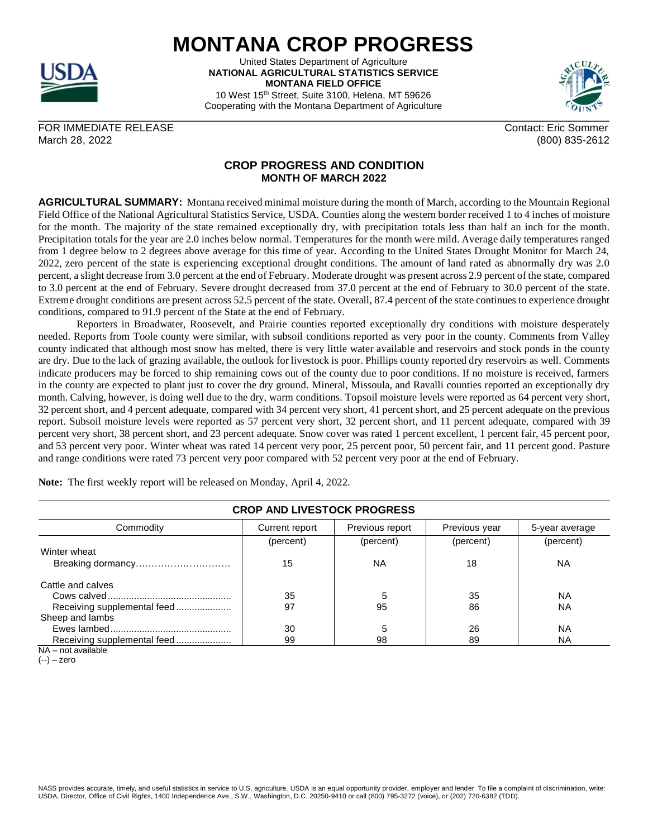

United States Department of Agriculture **NATIONAL AGRICULTURAL STATISTICS SERVICE MONTANA FIELD OFFICE**

10 West 15th Street, Suite 3100, Helena, MT 59626 Cooperating with the Montana Department of Agriculture

FOR IMMEDIATE RELEASE CONTACT AND THE SOME CONTACT SOME CONTACT ERIC SOMMER March 28, 2022 (800) 835-2612

## **CROP PROGRESS AND CONDITION MONTH OF MARCH 2022**

**AGRICULTURAL SUMMARY:** Montana received minimal moisture during the month of March, according to the Mountain Regional Field Office of the National Agricultural Statistics Service, USDA. Counties along the western border received 1 to 4 inches of moisture for the month. The majority of the state remained exceptionally dry, with precipitation totals less than half an inch for the month. Precipitation totals for the year are 2.0 inches below normal. Temperatures for the month were mild. Average daily temperatures ranged from 1 degree below to 2 degrees above average for this time of year. According to the United States Drought Monitor for March 24, 2022, zero percent of the state is experiencing exceptional drought conditions. The amount of land rated as abnormally dry was 2.0 percent, a slight decrease from 3.0 percent at the end of February. Moderate drought was present across 2.9 percent of the state, compared to 3.0 percent at the end of February. Severe drought decreased from 37.0 percent at the end of February to 30.0 percent of the state. Extreme drought conditions are present across 52.5 percent of the state. Overall, 87.4 percent of the state continues to experience drought conditions, compared to 91.9 percent of the State at the end of February.

Reporters in Broadwater, Roosevelt, and Prairie counties reported exceptionally dry conditions with moisture desperately needed. Reports from Toole county were similar, with subsoil conditions reported as very poor in the county. Comments from Valley county indicated that although most snow has melted, there is very little water available and reservoirs and stock ponds in the county are dry. Due to the lack of grazing available, the outlook for livestock is poor. Phillips county reported dry reservoirs as well. Comments indicate producers may be forced to ship remaining cows out of the county due to poor conditions. If no moisture is received, farmers in the county are expected to plant just to cover the dry ground. Mineral, Missoula, and Ravalli counties reported an exceptionally dry month. Calving, however, is doing well due to the dry, warm conditions. Topsoil moisture levels were reported as 64 percent very short, 32 percent short, and 4 percent adequate, compared with 34 percent very short, 41 percent short, and 25 percent adequate on the previous report. Subsoil moisture levels were reported as 57 percent very short, 32 percent short, and 11 percent adequate, compared with 39 percent very short, 38 percent short, and 23 percent adequate. Snow cover was rated 1 percent excellent, 1 percent fair, 45 percent poor, and 53 percent very poor. Winter wheat was rated 14 percent very poor, 25 percent poor, 50 percent fair, and 11 percent good. Pasture and range conditions were rated 73 percent very poor compared with 52 percent very poor at the end of February.

**Note:** The first weekly report will be released on Monday, April 4, 2022.

| Commodity                   | Current report | Previous report | Previous year | 5-year average |
|-----------------------------|----------------|-----------------|---------------|----------------|
|                             | (percent)      | (percent)       | (percent)     | (percent)      |
| Winter wheat                |                |                 |               |                |
| Breaking dormancy           | 15             | ΝA              | 18            | ΝA             |
| Cattle and calves           |                |                 |               |                |
|                             | 35             |                 | 35            | ΝA             |
| Receiving supplemental feed | 97             | 95              | 86            | ΝA             |
| Sheep and lambs             |                |                 |               |                |
|                             | 30             | 5               | 26            | <b>NA</b>      |
| Receiving supplemental feed | 99             | 98              | 89            | ΝA             |
| NA - not available          |                |                 |               |                |

**CROP AND LIVESTOCK PROGRESS**

 $(-)$  – zero